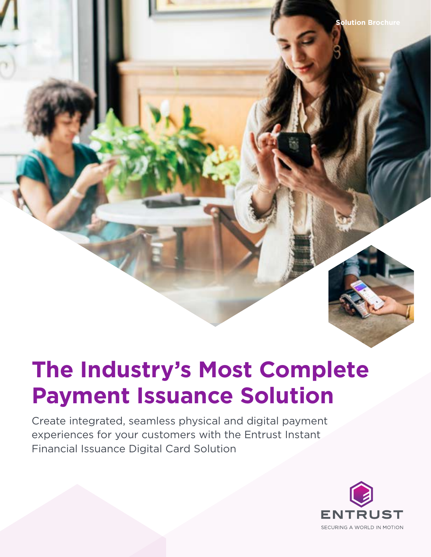# **The Industry's Most Complete Payment Issuance Solution**

Create integrated, seamless physical and digital payment experiences for your customers with the Entrust Instant Financial Issuance Digital Card Solution

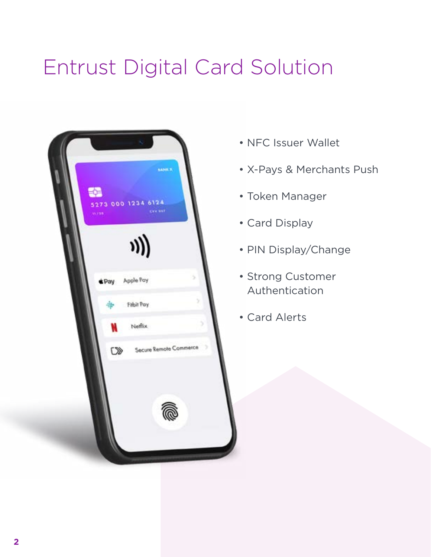# Entrust Digital Card Solution



- NFC Issuer Wallet
- X-Pays & Merchants Push
- Token Manager
- Card Display
- PIN Display/Change
- Strong Customer Authentication
- Card Alerts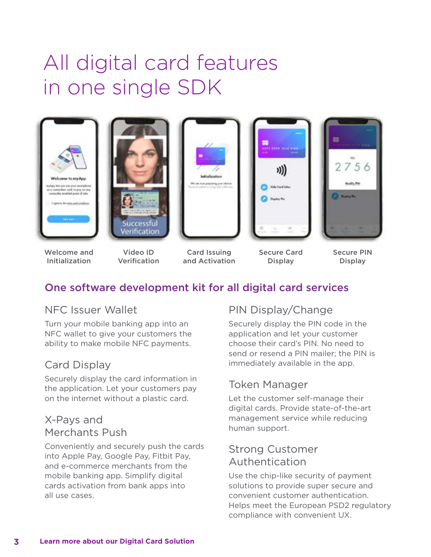## All digital card features in one single SDK











Welcome and Initialization

Video ID Verification

Card Issuing and Activation

Secure Card **Display** 

Secure PIN **Display** 

## One software development kit for all digital card services

## NFC Issuer Wallet

Turn your mobile banking app into an NFC wallet to give your customers the ability to make mobile NFC payments.

## Card Display

Securely display the card information in the application. Let your customers pay on the internet without a plastic card.

## X-Pays and Merchants Push

Conveniently and securely push the cards into Apple Pay, Google Pay, Fitbit Pay, and e-commerce merchants from the mobile banking app. Simplify digital cards activation from bank apps into all use cases.

## PIN Display/Change

Securely display the PIN code in the application and let your customer choose their card's PIN. No need to send or resend a PIN mailer; the PIN is immediately available in the app.

## Token Manager

Let the customer self-manage their digital cards. Provide state-of-the-art management service while reducing human support.

## Strong Customer Authentication

Use the chip-like security of payment solutions to provide super secure and convenient customer authentication. Helps meet the European PSD2 regulatory compliance with convenient UX.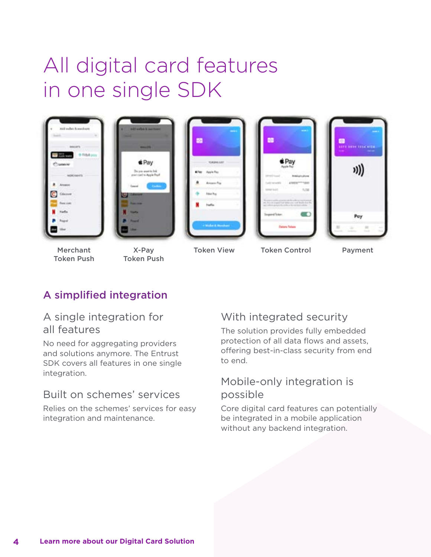## All digital card features in one single SDK



Merchant Token Push

- X-Pay Token Push
- Token View Token Control Payment

## A simplified integration

#### A single integration for all features

No need for aggregating providers and solutions anymore. The Entrust SDK covers all features in one single integration.

## Built on schemes' services

Relies on the schemes' services for easy integration and maintenance.

## With integrated security

The solution provides fully embedded protection of all data flows and assets, offering best-in-class security from end to end.

#### Mobile-only integration is possible

Core digital card features can potentially be integrated in a mobile application without any backend integration.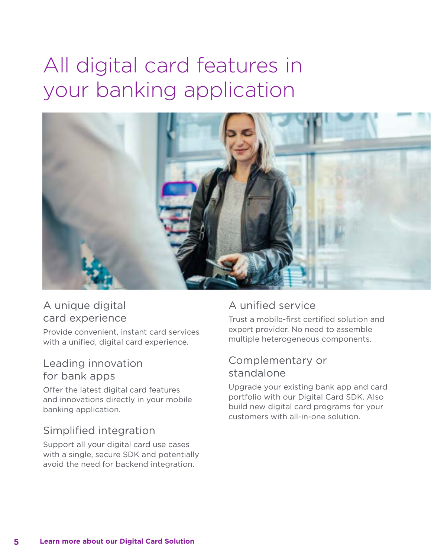## All digital card features in your banking application



## A unique digital card experience

Provide convenient, instant card services with a unified, digital card experience.

#### Leading innovation for bank apps

Offer the latest digital card features and innovations directly in your mobile banking application.

## Simplified integration

Support all your digital card use cases with a single, secure SDK and potentially avoid the need for backend integration.

## A unified service

Trust a mobile-first certified solution and expert provider. No need to assemble multiple heterogeneous components.

### Complementary or standalone

Upgrade your existing bank app and card portfolio with our Digital Card SDK. Also build new digital card programs for your customers with all-in-one solution.